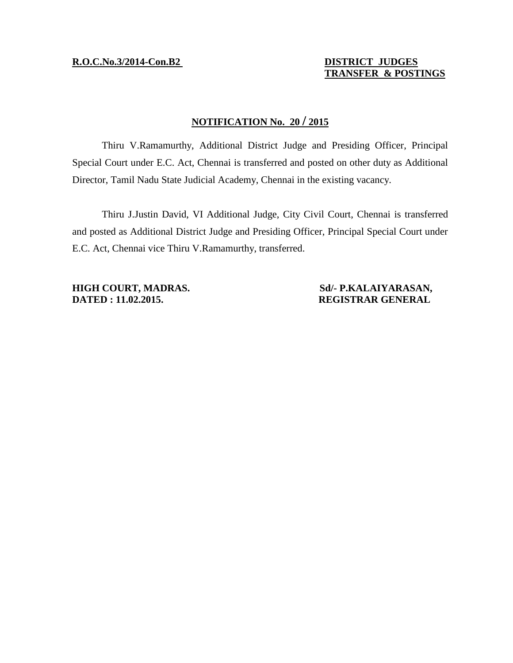### **R.O.C.No.3/2014-Con.B2 DISTRICT JUDGES**

## **TRANSFER & POSTINGS**

### **NOTIFICATION No. 20 / 2015**

Thiru V.Ramamurthy, Additional District Judge and Presiding Officer, Principal Special Court under E.C. Act, Chennai is transferred and posted on other duty as Additional Director, Tamil Nadu State Judicial Academy, Chennai in the existing vacancy.

Thiru J.Justin David, VI Additional Judge, City Civil Court, Chennai is transferred and posted as Additional District Judge and Presiding Officer, Principal Special Court under E.C. Act, Chennai vice Thiru V.Ramamurthy, transferred.

**DATED : 11.02.2015. REGISTRAR GENERAL** 

# **HIGH COURT, MADRAS. Sd/- P.KALAIYARASAN,**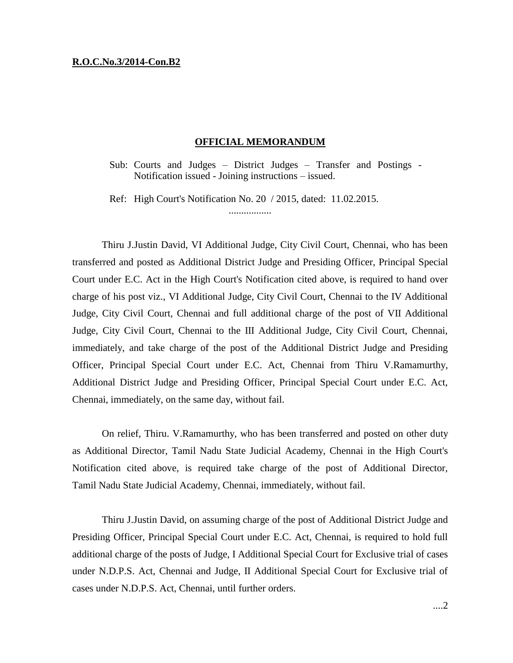#### **R.O.C.No.3/2014-Con.B2**

#### **OFFICIAL MEMORANDUM**

Sub: Courts and Judges – District Judges – Transfer and Postings - Notification issued - Joining instructions – issued.

Ref: High Court's Notification No. 20 / 2015, dated: 11.02.2015.

.................

Thiru J.Justin David, VI Additional Judge, City Civil Court, Chennai, who has been transferred and posted as Additional District Judge and Presiding Officer, Principal Special Court under E.C. Act in the High Court's Notification cited above, is required to hand over charge of his post viz., VI Additional Judge, City Civil Court, Chennai to the IV Additional Judge, City Civil Court, Chennai and full additional charge of the post of VII Additional Judge, City Civil Court, Chennai to the III Additional Judge, City Civil Court, Chennai, immediately, and take charge of the post of the Additional District Judge and Presiding Officer, Principal Special Court under E.C. Act, Chennai from Thiru V.Ramamurthy, Additional District Judge and Presiding Officer, Principal Special Court under E.C. Act, Chennai, immediately, on the same day, without fail.

On relief, Thiru. V.Ramamurthy, who has been transferred and posted on other duty as Additional Director, Tamil Nadu State Judicial Academy, Chennai in the High Court's Notification cited above, is required take charge of the post of Additional Director, Tamil Nadu State Judicial Academy, Chennai, immediately, without fail.

Thiru J.Justin David, on assuming charge of the post of Additional District Judge and Presiding Officer, Principal Special Court under E.C. Act, Chennai, is required to hold full additional charge of the posts of Judge, I Additional Special Court for Exclusive trial of cases under N.D.P.S. Act, Chennai and Judge, II Additional Special Court for Exclusive trial of cases under N.D.P.S. Act, Chennai, until further orders.